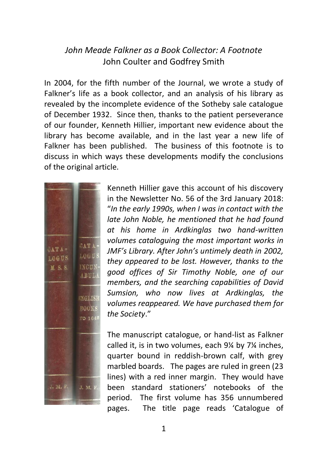## *John Meade Falkner as a Book Collector: A Footnote* John Coulter and Godfrey Smith

In 2004, for the fifth number of the Journal, we wrote a study of Falkner's life as a book collector, and an analysis of his library as revealed by the incomplete evidence of the Sotheby sale catalogue of December 1932. Since then, thanks to the patient perseverance of our founder, Kenneth Hillier, important new evidence about the library has become available, and in the last year a new life of Falkner has been published. The business of this footnote is to discuss in which ways these developments modify the conclusions of the original article.



Kenneth Hillier gave this account of his discovery in the Newsletter No. 56 of the 3rd January 2018: "*In the early 1990s, when I was in contact with the late John Noble, he mentioned that he had found at his home in Ardkinglas two hand-written volumes cataloguing the most important works in JMF's Library. After John's untimely death in 2002, they appeared to be lost. However, thanks to the good offices of Sir Timothy Noble, one of our members, and the searching capabilities of David Sumsion, who now lives at Ardkinglas, the volumes reappeared. We have purchased them for the Society*."

The manuscript catalogue, or hand-list as Falkner called it, is in two volumes, each 9¼ by 7¼ inches, quarter bound in reddish-brown calf, with grey marbled boards. The pages are ruled in green (23 lines) with a red inner margin. They would have been standard stationers' notebooks of the period. The first volume has 356 unnumbered pages. The title page reads 'Catalogue of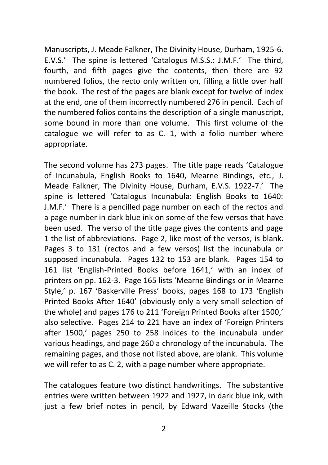Manuscripts, J. Meade Falkner, The Divinity House, Durham, 1925-6. E.V.S.' The spine is lettered 'Catalogus M.S.S.: J.M.F.' The third, fourth, and fifth pages give the contents, then there are 92 numbered folios, the recto only written on, filling a little over half the book. The rest of the pages are blank except for twelve of index at the end, one of them incorrectly numbered 276 in pencil. Each of the numbered folios contains the description of a single manuscript, some bound in more than one volume. This first volume of the catalogue we will refer to as C. 1, with a folio number where appropriate.

The second volume has 273 pages. The title page reads 'Catalogue of Incunabula, English Books to 1640, Mearne Bindings, etc., J. Meade Falkner, The Divinity House, Durham, E.V.S. 1922-7.' The spine is lettered 'Catalogus Incunabula: English Books to 1640: J.M.F.' There is a pencilled page number on each of the rectos and a page number in dark blue ink on some of the few versos that have been used. The verso of the title page gives the contents and page 1 the list of abbreviations. Page 2, like most of the versos, is blank. Pages 3 to 131 (rectos and a few versos) list the incunabula or supposed incunabula. Pages 132 to 153 are blank. Pages 154 to 161 list 'English-Printed Books before 1641,' with an index of printers on pp. 162-3. Page 165 lists 'Mearne Bindings or in Mearne Style,' p. 167 'Baskerville Press' books, pages 168 to 173 'English Printed Books After 1640' (obviously only a very small selection of the whole) and pages 176 to 211 'Foreign Printed Books after 1500,' also selective. Pages 214 to 221 have an index of 'Foreign Printers after 1500,' pages 250 to 258 indices to the incunabula under various headings, and page 260 a chronology of the incunabula. The remaining pages, and those not listed above, are blank. This volume we will refer to as C. 2, with a page number where appropriate.

The catalogues feature two distinct handwritings. The substantive entries were written between 1922 and 1927, in dark blue ink, with just a few brief notes in pencil, by Edward Vazeille Stocks (the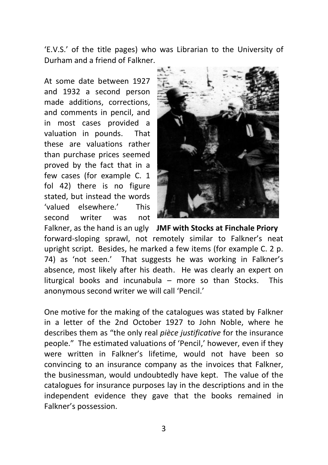'E.V.S.' of the title pages) who was Librarian to the University of Durham and a friend of Falkner.

At some date between 1927 and 1932 a second person made additions, corrections, and comments in pencil, and in most cases provided a valuation in pounds. That these are valuations rather than purchase prices seemed proved by the fact that in a few cases (for example C. 1 fol 42) there is no figure stated, but instead the words 'valued elsewhere.' This second writer was not



Falkner, as the hand is an ugly **JMF with Stocks at Finchale Priory** forward-sloping sprawl, not remotely similar to Falkner's neat upright script. Besides, he marked a few items (for example C. 2 p. 74) as 'not seen.' That suggests he was working in Falkner's absence, most likely after his death. He was clearly an expert on liturgical books and incunabula – more so than Stocks. This anonymous second writer we will call 'Pencil.'

One motive for the making of the catalogues was stated by Falkner in a letter of the 2nd October 1927 to John Noble, where he describes them as "the only real *pièce justificative* for the insurance people." The estimated valuations of 'Pencil,' however, even if they were written in Falkner's lifetime, would not have been so convincing to an insurance company as the invoices that Falkner, the businessman, would undoubtedly have kept. The value of the catalogues for insurance purposes lay in the descriptions and in the independent evidence they gave that the books remained in Falkner's possession.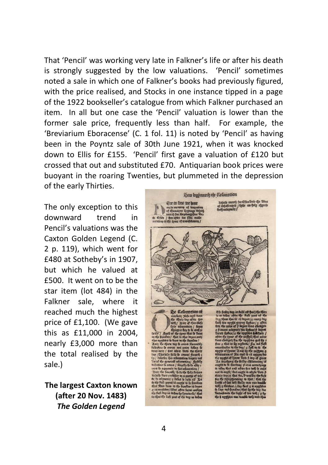That 'Pencil' was working very late in Falkner's life or after his death is strongly suggested by the low valuations. 'Pencil' sometimes noted a sale in which one of Falkner's books had previously figured, with the price realised, and Stocks in one instance tipped in a page of the 1922 bookseller's catalogue from which Falkner purchased an item. In all but one case the 'Pencil' valuation is lower than the former sale price, frequently less than half. For example, the 'Breviarium Eboracense' (C. 1 fol. 11) is noted by 'Pencil' as having been in the Poyntz sale of 30th June 1921, when it was knocked down to Ellis for £155. 'Pencil' first gave a valuation of £120 but crossed that out and substituted £70. Antiquarian book prices were buoyant in the roaring Twenties, but plummeted in the depression of the early Thirties.

The only exception to this downward trend in Pencil's valuations was the Caxton Golden Legend (C. 2 p. 119), which went for £480 at Sotheby's in 1907, but which he valued at £500. It went on to be the star item (lot 484) in the Falkner sale, where it reached much the highest price of £1,100. (We gave this as £11,000 in 2004, nearly £3,000 more than the total realised by the sale.)

**The largest Caxton known (after 20 Nov. 1483)** *The Golden Legend*

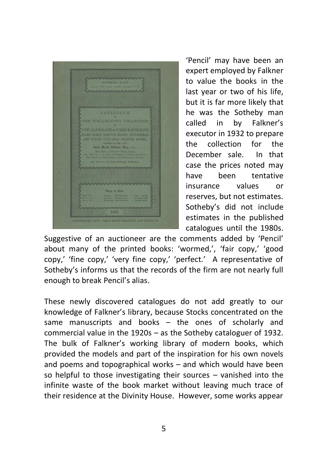

'Pencil' may have been an expert employed by Falkner to value the books in the last year or two of his life, but it is far more likely that he was the Sotheby man called in by Falkner's executor in 1932 to prepare the collection for the December sale. In that case the prices noted may have been tentative insurance values or reserves, but not estimates. Sotheby's did not include estimates in the published catalogues until the 1980s.

Suggestive of an auctioneer are the comments added by 'Pencil' about many of the printed books: 'wormed,', 'fair copy,' 'good copy,' 'fine copy,' 'very fine copy,' 'perfect.' A representative of Sotheby's informs us that the records of the firm are not nearly full enough to break Pencil's alias.

These newly discovered catalogues do not add greatly to our knowledge of Falkner's library, because Stocks concentrated on the same manuscripts and books – the ones of scholarly and commercial value in the 1920s – as the Sotheby cataloguer of 1932. The bulk of Falkner's working library of modern books, which provided the models and part of the inspiration for his own novels and poems and topographical works – and which would have been so helpful to those investigating their sources – vanished into the infinite waste of the book market without leaving much trace of their residence at the Divinity House. However, some works appear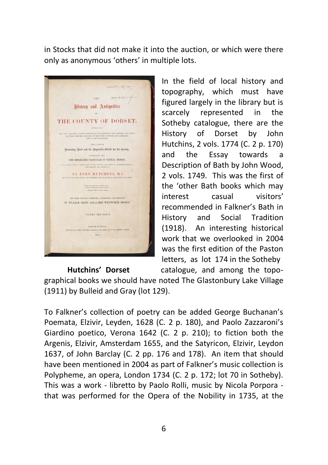in Stocks that did not make it into the auction, or which were there only as anonymous 'others' in multiple lots.



In the field of local history and topography, which must have figured largely in the library but is scarcely represented in the Sotheby catalogue, there are the History of Dorset by John Hutchins, 2 vols. 1774 (C. 2 p. 170) and the Essay towards a Description of Bath by John Wood, 2 vols. 1749. This was the first of the 'other Bath books which may interest casual visitors' recommended in Falkner's Bath in History and Social Tradition (1918). An interesting historical work that we overlooked in 2004 was the first edition of the Paston letters, as lot 174 in the Sotheby **Hutchins' Dorset** catalogue, and among the topo-

graphical books we should have noted The Glastonbury Lake Village (1911) by Bulleid and Gray (lot 129).

To Falkner's collection of poetry can be added George Buchanan's Poemata, Elzivir, Leyden, 1628 (C. 2 p. 180), and Paolo Zazzaroni's Giardino poetico, Verona 1642 (C. 2 p. 210); to fiction both the Argenis, Elzivir, Amsterdam 1655, and the Satyricon, Elzivir, Leydon 1637, of John Barclay (C. 2 pp. 176 and 178). An item that should have been mentioned in 2004 as part of Falkner's music collection is Polypheme, an opera, London 1734 (C. 2 p. 172; lot 70 in Sotheby). This was a work - libretto by Paolo Rolli, music by Nicola Porpora that was performed for the Opera of the Nobility in 1735, at the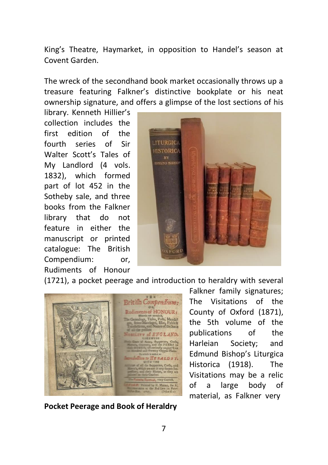King's Theatre, Haymarket, in opposition to Handel's season at Covent Garden.

The wreck of the secondhand book market occasionally throws up a treasure featuring Falkner's distinctive bookplate or his neat ownership signature, and offers a glimpse of the lost sections of his

library. Kenneth Hillier's collection includes the first edition of the fourth series of Sir Walter Scott's Tales of My Landlord (4 vols. 1832), which formed part of lot 452 in the Sotheby sale, and three books from the Falkner library that do not feature in either the manuscript or printed catalogue: The British Compendium: or, Rudiments of Honour



(1721), a pocket peerage and introduction to heraldry with several



**Pocket Peerage and Book of Heraldry**

Falkner family signatures; The Visitations of the County of Oxford (1871), the 5th volume of the publications of the Harleian Society; and Edmund Bishop's Liturgica Historica (1918). The Visitations may be a relic of a large body of material, as Falkner very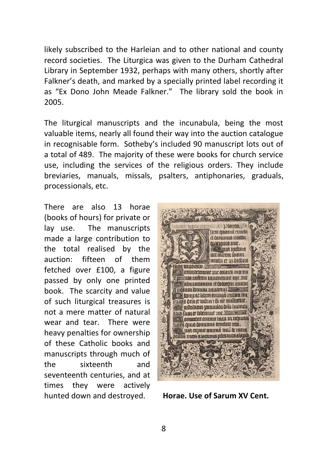likely subscribed to the Harleian and to other national and county record societies. The Liturgica was given to the Durham Cathedral Library in September 1932, perhaps with many others, shortly after Falkner's death, and marked by a specially printed label recording it as "Ex Dono John Meade Falkner." The library sold the book in 2005.

The liturgical manuscripts and the incunabula, being the most valuable items, nearly all found their way into the auction catalogue in recognisable form. Sotheby's included 90 manuscript lots out of a total of 489. The majority of these were books for church service use, including the services of the religious orders. They include breviaries, manuals, missals, psalters, antiphonaries, graduals, processionals, etc.

There are also 13 horae (books of hours) for private or lay use. The manuscripts made a large contribution to the total realised by the auction: fifteen of them fetched over £100, a figure passed by only one printed book. The scarcity and value of such liturgical treasures is not a mere matter of natural wear and tear. There were heavy penalties for ownership of these Catholic books and manuscripts through much of the sixteenth and seventeenth centuries, and at times they were actively hunted down and destroyed. **Horae. Use of Sarum XV Cent.** 

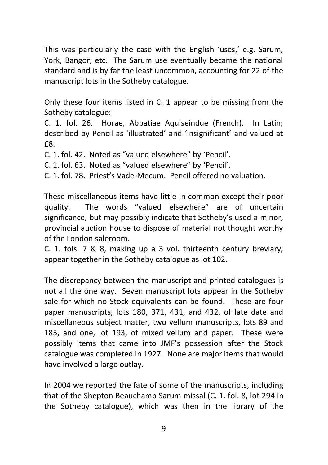This was particularly the case with the English 'uses,' e.g. Sarum, York, Bangor, etc. The Sarum use eventually became the national standard and is by far the least uncommon, accounting for 22 of the manuscript lots in the Sotheby catalogue.

Only these four items listed in C. 1 appear to be missing from the Sotheby catalogue:

C. 1. fol. 26. Horae, Abbatiae Aquiseindue (French). In Latin; described by Pencil as 'illustrated' and 'insignificant' and valued at £8.

C. 1. fol. 42. Noted as "valued elsewhere" by 'Pencil'.

C. 1. fol. 63. Noted as "valued elsewhere" by 'Pencil'.

C. 1. fol. 78. Priest's Vade-Mecum. Pencil offered no valuation.

These miscellaneous items have little in common except their poor quality. The words "valued elsewhere" are of uncertain significance, but may possibly indicate that Sotheby's used a minor, provincial auction house to dispose of material not thought worthy of the London saleroom.

C. 1. fols. 7 & 8, making up a 3 vol. thirteenth century breviary, appear together in the Sotheby catalogue as lot 102.

The discrepancy between the manuscript and printed catalogues is not all the one way. Seven manuscript lots appear in the Sotheby sale for which no Stock equivalents can be found. These are four paper manuscripts, lots 180, 371, 431, and 432, of late date and miscellaneous subject matter, two vellum manuscripts, lots 89 and 185, and one, lot 193, of mixed vellum and paper. These were possibly items that came into JMF's possession after the Stock catalogue was completed in 1927. None are major items that would have involved a large outlay.

In 2004 we reported the fate of some of the manuscripts, including that of the Shepton Beauchamp Sarum missal (C. 1. fol. 8, lot 294 in the Sotheby catalogue), which was then in the library of the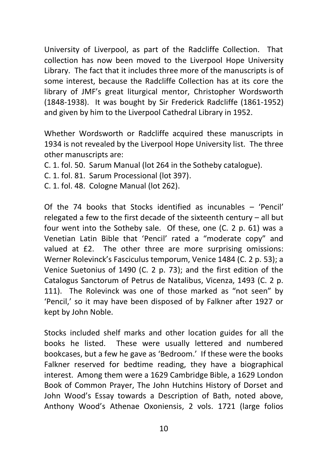University of Liverpool, as part of the Radcliffe Collection. That collection has now been moved to the Liverpool Hope University Library. The fact that it includes three more of the manuscripts is of some interest, because the Radcliffe Collection has at its core the library of JMF's great liturgical mentor, Christopher Wordsworth (1848-1938). It was bought by Sir Frederick Radcliffe (1861-1952) and given by him to the Liverpool Cathedral Library in 1952.

Whether Wordsworth or Radcliffe acquired these manuscripts in 1934 is not revealed by the Liverpool Hope University list. The three other manuscripts are:

C. 1. fol. 50. Sarum Manual (lot 264 in the Sotheby catalogue).

- C. 1. fol. 81. Sarum Processional (lot 397).
- C. 1. fol. 48. Cologne Manual (lot 262).

Of the 74 books that Stocks identified as incunables – 'Pencil' relegated a few to the first decade of the sixteenth century – all but four went into the Sotheby sale. Of these, one (C. 2 p. 61) was a Venetian Latin Bible that 'Pencil' rated a "moderate copy" and valued at £2. The other three are more surprising omissions: Werner Rolevinck's Fasciculus temporum, Venice 1484 (C. 2 p. 53); a Venice Suetonius of 1490 (C. 2 p. 73); and the first edition of the Catalogus Sanctorum of Petrus de Natalibus, Vicenza, 1493 (C. 2 p. 111). The Rolevinck was one of those marked as "not seen" by 'Pencil,' so it may have been disposed of by Falkner after 1927 or kept by John Noble.

Stocks included shelf marks and other location guides for all the books he listed. These were usually lettered and numbered bookcases, but a few he gave as 'Bedroom.' If these were the books Falkner reserved for bedtime reading, they have a biographical interest. Among them were a 1629 Cambridge Bible, a 1629 London Book of Common Prayer, The John Hutchins History of Dorset and John Wood's Essay towards a Description of Bath, noted above, Anthony Wood's Athenae Oxoniensis, 2 vols. 1721 (large folios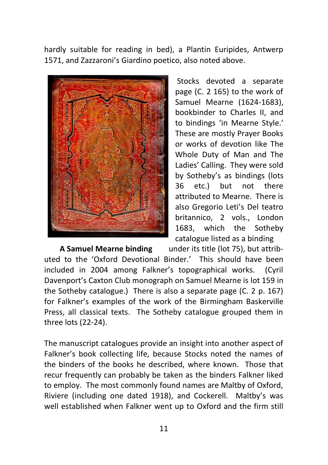hardly suitable for reading in bed), a Plantin Euripides, Antwerp 1571, and Zazzaroni's Giardino poetico, also noted above.



Stocks devoted a separate page (C. 2 165) to the work of Samuel Mearne (1624-1683), bookbinder to Charles II, and to bindings 'in Mearne Style.' These are mostly Prayer Books or works of devotion like The Whole Duty of Man and The Ladies' Calling. They were sold by Sotheby's as bindings (lots 36 etc.) but not there attributed to Mearne. There is also Gregorio Leti's Del teatro britannico, 2 vols., London 1683, which the Sotheby catalogue listed as a binding

 **A Samuel Mearne binding** under its title (lot 75), but attributed to the 'Oxford Devotional Binder.' This should have been included in 2004 among Falkner's topographical works. (Cyril Davenport's Caxton Club monograph on Samuel Mearne is lot 159 in the Sotheby catalogue.) There is also a separate page (C. 2 p. 167) for Falkner's examples of the work of the Birmingham Baskerville Press, all classical texts. The Sotheby catalogue grouped them in three lots (22-24).

The manuscript catalogues provide an insight into another aspect of Falkner's book collecting life, because Stocks noted the names of the binders of the books he described, where known. Those that recur frequently can probably be taken as the binders Falkner liked to employ. The most commonly found names are Maltby of Oxford, Riviere (including one dated 1918), and Cockerell. Maltby's was well established when Falkner went up to Oxford and the firm still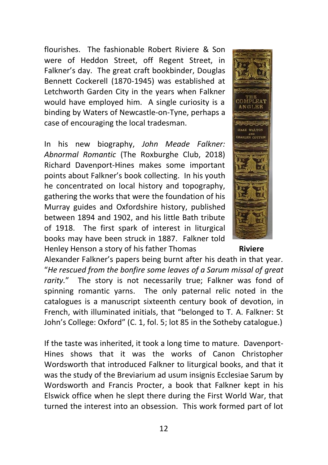flourishes. The fashionable Robert Riviere & Son were of Heddon Street, off Regent Street, in Falkner's day. The great craft bookbinder, Douglas Bennett Cockerell (1870-1945) was established at Letchworth Garden City in the years when Falkner would have employed him. A single curiosity is a binding by Waters of Newcastle-on-Tyne, perhaps a case of encouraging the local tradesman.

In his new biography, *John Meade Falkner: Abnormal Romantic* (The Roxburghe Club, 2018) Richard Davenport-Hines makes some important points about Falkner's book collecting. In his youth he concentrated on local history and topography, gathering the works that were the foundation of his Murray guides and Oxfordshire history, published between 1894 and 1902, and his little Bath tribute of 1918. The first spark of interest in liturgical books may have been struck in 1887. Falkner told Henley Henson a story of his father Thomas **Riviere**

Alexander Falkner's papers being burnt after his death in that year. "*He rescued from the bonfire some leaves of a Sarum missal of great rarity.*" The story is not necessarily true; Falkner was fond of spinning romantic yarns. The only paternal relic noted in the catalogues is a manuscript sixteenth century book of devotion, in French, with illuminated initials, that "belonged to T. A. Falkner: St John's College: Oxford" (C. 1, fol. 5; lot 85 in the Sotheby catalogue.)

If the taste was inherited, it took a long time to mature. Davenport-Hines shows that it was the works of Canon Christopher Wordsworth that introduced Falkner to liturgical books, and that it was the study of the Breviarium ad usum insignis Ecclesiae Sarum by Wordsworth and Francis Procter, a book that Falkner kept in his Elswick office when he slept there during the First World War, that turned the interest into an obsession. This work formed part of lot